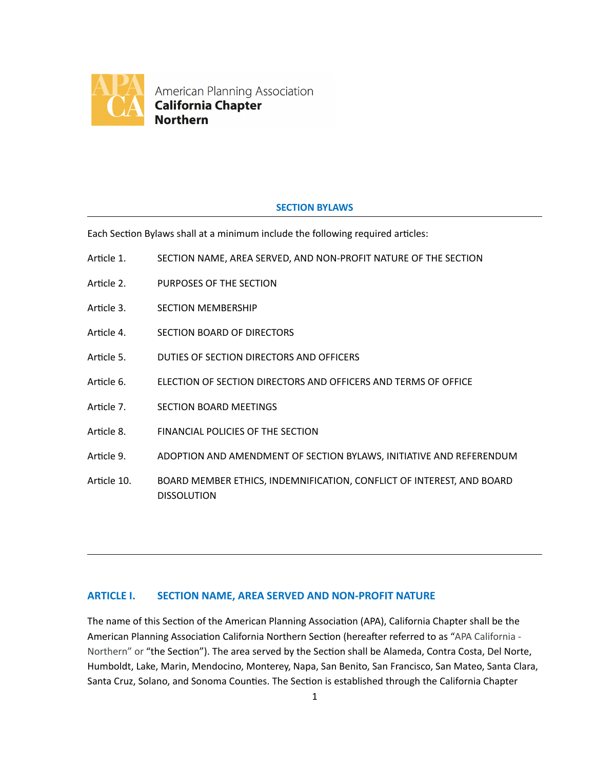

American Planning Association **California Chapter Northern** 

## **SECTION BYLAWS**

Each Section Bylaws shall at a minimum include the following required articles:

- Article 1. SECTION NAME, AREA SERVED, AND NON-PROFIT NATURE OF THE SECTION
- Article 2. PURPOSES OF THE SECTION
- Article 3. SECTION MEMBERSHIP
- Article 4. SECTION BOARD OF DIRECTORS
- Article 5. DUTIES OF SECTION DIRECTORS AND OFFICERS
- Article 6. **ELECTION OF SECTION DIRECTORS AND OFFICERS AND TERMS OF OFFICE**
- Article 7. SECTION BOARD MEETINGS
- Article 8. FINANCIAL POLICIES OF THE SECTION
- Article 9. ADOPTION AND AMENDMENT OF SECTION BYLAWS, INITIATIVE AND REFERENDUM
- Article 10. BOARD MEMBER ETHICS, INDEMNIFICATION, CONFLICT OF INTEREST, AND BOARD DISSOLUTION

## **ARTICLE I. SECTION NAME, AREA SERVED AND NON-PROFIT NATURE**

The name of this Section of the American Planning Association (APA), California Chapter shall be the American Planning Association California Northern Section (hereafter referred to as "APA California -Northern" or "the Section"). The area served by the Section shall be Alameda, Contra Costa, Del Norte, Humboldt, Lake, Marin, Mendocino, Monterey, Napa, San Benito, San Francisco, San Mateo, Santa Clara, Santa Cruz, Solano, and Sonoma Counties. The Section is established through the California Chapter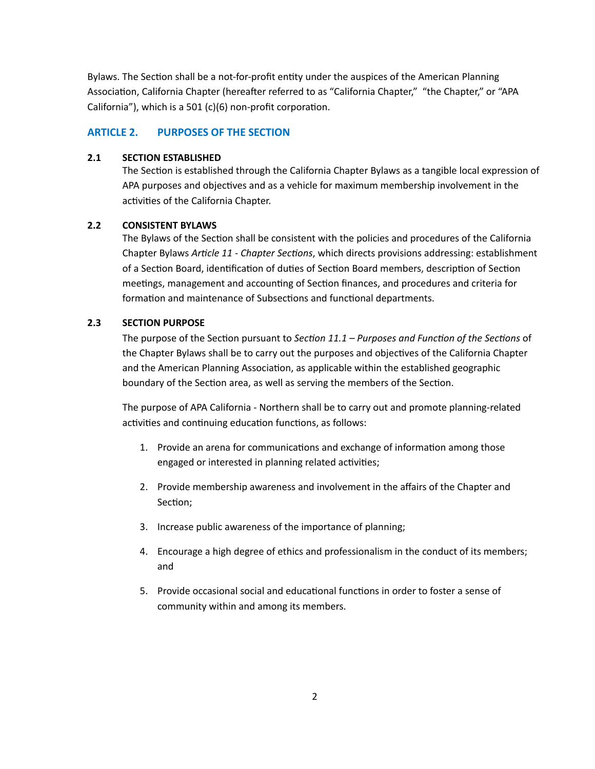Bylaws. The Section shall be a not-for-profit entity under the auspices of the American Planning Association, California Chapter (hereafter referred to as "California Chapter," "the Chapter," or "APA California"), which is a 501 (c)(6) non-profit corporation.

#### **ARTICLE 2. PURPOSES OF THE SECTION**

#### **2.1 SECTION ESTABLISHED**

The Section is established through the California Chapter Bylaws as a tangible local expression of APA purposes and objectives and as a vehicle for maximum membership involvement in the activities of the California Chapter.

### **2.2 CONSISTENT BYLAWS**

The Bylaws of the Section shall be consistent with the policies and procedures of the California Chapter Bylaws *Arcle 11 - Chapter Secons*, which directs provisions addressing: establishment of a Section Board, identification of duties of Section Board members, description of Section meetings, management and accounting of Section finances, and procedures and criteria for formation and maintenance of Subsections and functional departments.

### **2.3 SECTION PURPOSE**

The purpose of the Section pursuant to *Section 11.1 – Purposes and Function of the Sections* of the Chapter Bylaws shall be to carry out the purposes and objectives of the California Chapter and the American Planning Association, as applicable within the established geographic boundary of the Section area, as well as serving the members of the Section.

The purpose of APA California - Northern shall be to carry out and promote planning-related activities and continuing education functions, as follows:

- 1. Provide an arena for communications and exchange of information among those engaged or interested in planning related activities;
- 2. Provide membership awareness and involvement in the affairs of the Chapter and Section;
- 3. Increase public awareness of the importance of planning;
- 4. Encourage a high degree of ethics and professionalism in the conduct of its members; and
- 5. Provide occasional social and educational functions in order to foster a sense of community within and among its members.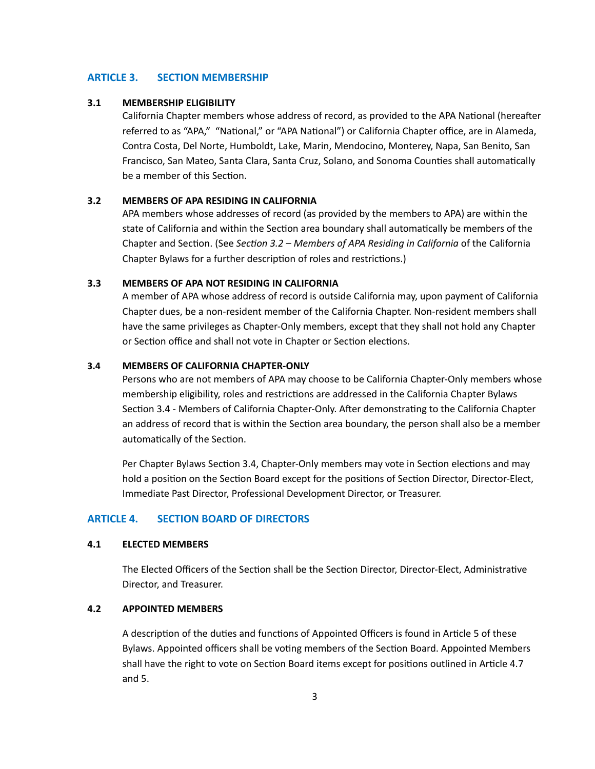#### **ARTICLE 3. SECTION MEMBERSHIP**

#### **3.1 MEMBERSHIP ELIGIBILITY**

California Chapter members whose address of record, as provided to the APA National (hereafter referred to as "APA," "National," or "APA National") or California Chapter office, are in Alameda, Contra Costa, Del Norte, Humboldt, Lake, Marin, Mendocino, Monterey, Napa, San Benito, San Francisco, San Mateo, Santa Clara, Santa Cruz, Solano, and Sonoma Counties shall automatically be a member of this Section.

#### **3.2 MEMBERS OF APA RESIDING IN CALIFORNIA**

APA members whose addresses of record (as provided by the members to APA) are within the state of California and within the Section area boundary shall automatically be members of the Chapter and Section. (See *Section 3.2 – Members of APA Residing in California* of the California Chapter Bylaws for a further description of roles and restrictions.)

### **3.3 MEMBERS OF APA NOT RESIDING IN CALIFORNIA**

A member of APA whose address of record is outside California may, upon payment of California Chapter dues, be a non-resident member of the California Chapter. Non-resident members shall have the same privileges as Chapter-Only members, except that they shall not hold any Chapter or Section office and shall not vote in Chapter or Section elections.

#### **3.4 MEMBERS OF CALIFORNIA CHAPTER-ONLY**

Persons who are not members of APA may choose to be California Chapter-Only members whose membership eligibility, roles and restrictions are addressed in the California Chapter Bylaws Section 3.4 - Members of California Chapter-Only. After demonstrating to the California Chapter an address of record that is within the Section area boundary, the person shall also be a member automatically of the Section.

Per Chapter Bylaws Section 3.4, Chapter-Only members may vote in Section elections and may hold a position on the Section Board except for the positions of Section Director, Director-Elect, Immediate Past Director, Professional Development Director, or Treasurer.

### **ARTICLE 4. SECTION BOARD OF DIRECTORS**

#### **4.1 ELECTED MEMBERS**

The Elected Officers of the Section shall be the Section Director, Director-Elect, Administrative Director, and Treasurer.

### **4.2 APPOINTED MEMBERS**

A description of the duties and functions of Appointed Officers is found in Article 5 of these Bylaws. Appointed officers shall be voting members of the Section Board. Appointed Members shall have the right to vote on Section Board items except for positions outlined in Article 4.7 and 5.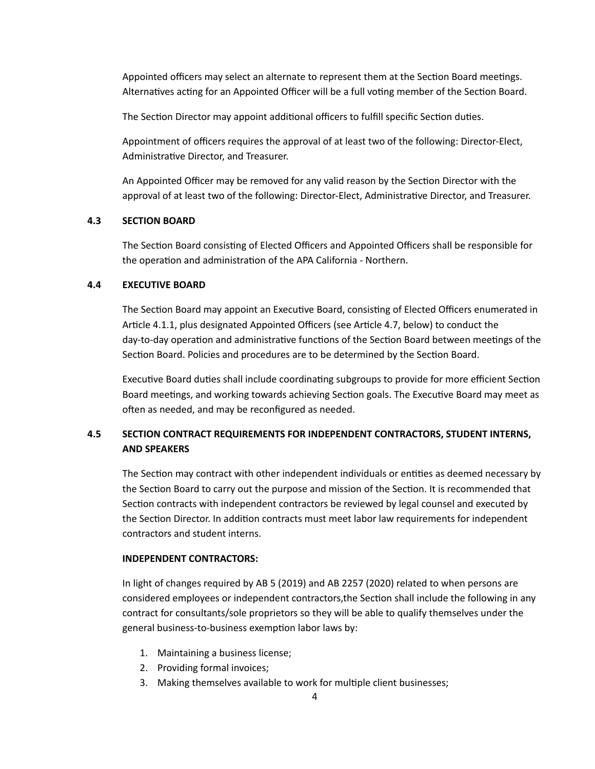Appointed officers may select an alternate to represent them at the Section Board meetings. Alternatives acting for an Appointed Officer will be a full voting member of the Section Board.

The Section Director may appoint additional officers to fulfill specific Section duties.

Appointment of officers requires the approval of at least two of the following: Director-Elect, Administrative Director, and Treasurer.

An Appointed Officer may be removed for any valid reason by the Section Director with the approval of at least two of the following: Director-Elect, Administrative Director, and Treasurer.

#### **4.3 SECTION BOARD**

The Section Board consisting of Elected Officers and Appointed Officers shall be responsible for the operation and administration of the APA California - Northern.

#### **4.4 EXECUTIVE BOARD**

The Section Board may appoint an Executive Board, consisting of Elected Officers enumerated in Article 4.1.1, plus designated Appointed Officers (see Article 4.7, below) to conduct the day-to-day operation and administrative functions of the Section Board between meetings of the Section Board. Policies and procedures are to be determined by the Section Board.

Executive Board duties shall include coordinating subgroups to provide for more efficient Section Board meetings, and working towards achieving Section goals. The Executive Board may meet as often as needed, and may be reconfigured as needed.

## **4.5 SECTION CONTRACT REQUIREMENTS FOR INDEPENDENT CONTRACTORS, STUDENT INTERNS, AND SPEAKERS**

The Section may contract with other independent individuals or entities as deemed necessary by the Section Board to carry out the purpose and mission of the Section. It is recommended that Section contracts with independent contractors be reviewed by legal counsel and executed by the Section Director. In addition contracts must meet labor law requirements for independent contractors and student interns.

#### **INDEPENDENT CONTRACTORS:**

In light of changes required by AB 5 (2019) and AB 2257 (2020) related to when persons are considered employees or independent contractors, the Section shall include the following in any contract for consultants/sole proprietors so they will be able to qualify themselves under the general business-to-business exemption labor laws by:

- 1. Maintaining a business license;
- 2. Providing formal invoices;
- 3. Making themselves available to work for multiple client businesses;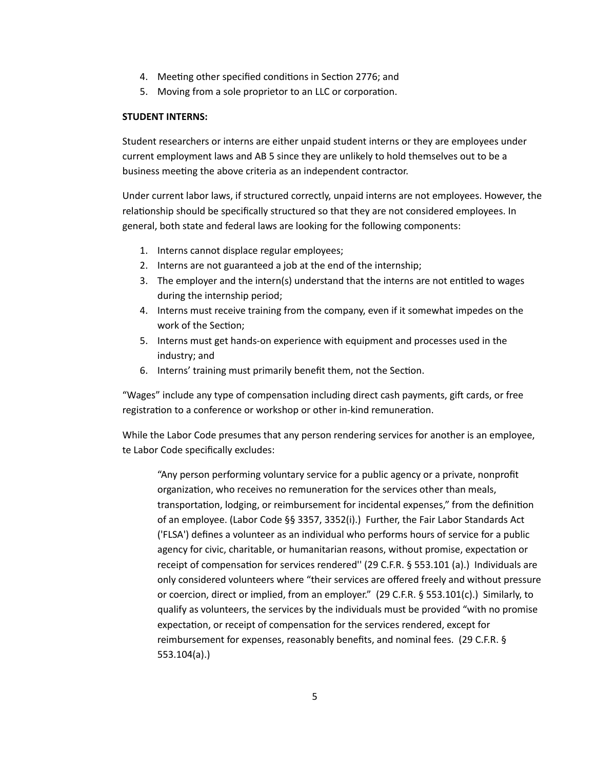- 4. Meeting other specified conditions in Section 2776; and
- 5. Moving from a sole proprietor to an LLC or corporation.

#### **STUDENT INTERNS:**

Student researchers or interns are either unpaid student interns or they are employees under current employment laws and AB 5 since they are unlikely to hold themselves out to be a business meeting the above criteria as an independent contractor.

Under current labor laws, if structured correctly, unpaid interns are not employees. However, the relationship should be specifically structured so that they are not considered employees. In general, both state and federal laws are looking for the following components:

- 1. Interns cannot displace regular employees;
- 2. Interns are not guaranteed a job at the end of the internship;
- 3. The employer and the intern(s) understand that the interns are not entitled to wages during the internship period;
- 4. Interns must receive training from the company, even if it somewhat impedes on the work of the Section;
- 5. Interns must get hands-on experience with equipment and processes used in the industry; and
- 6. Interns' training must primarily benefit them, not the Section.

"Wages" include any type of compensation including direct cash payments, gift cards, or free registration to a conference or workshop or other in-kind remuneration.

While the Labor Code presumes that any person rendering services for another is an employee, te Labor Code specifically excludes:

"Any person performing voluntary service for a public agency or a private, nonprofit organization, who receives no remuneration for the services other than meals, transportation, lodging, or reimbursement for incidental expenses," from the definition of an employee. (Labor Code §§ 3357, 3352(i).) Further, the Fair Labor Standards Act ('FLSA') defines a volunteer as an individual who performs hours of service for a public agency for civic, charitable, or humanitarian reasons, without promise, expectation or receipt of compensation for services rendered" (29 C.F.R. § 553.101 (a).) Individuals are only considered volunteers where "their services are offered freely and without pressure or coercion, direct or implied, from an employer." (29 C.F.R. § 553.101(c).) Similarly, to qualify as volunteers, the services by the individuals must be provided "with no promise expectation, or receipt of compensation for the services rendered, except for reimbursement for expenses, reasonably benefits, and nominal fees. (29 C.F.R. § 553.104(a).)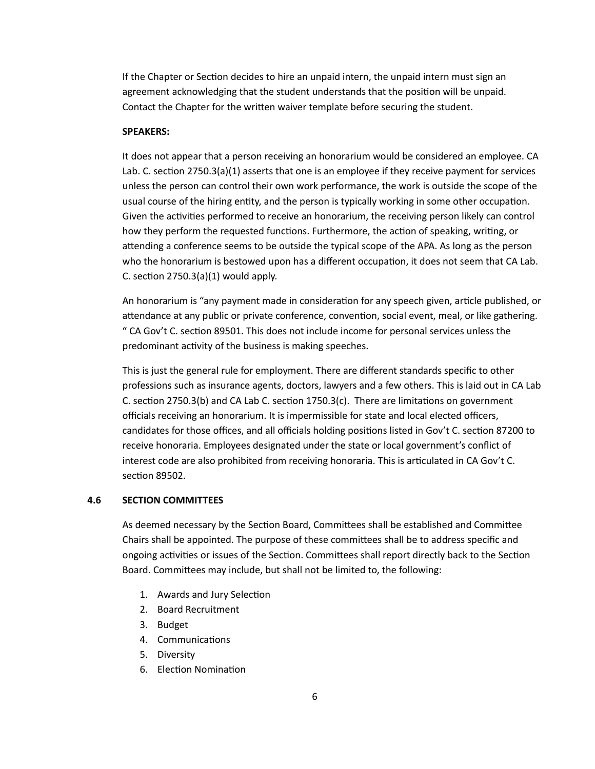If the Chapter or Section decides to hire an unpaid intern, the unpaid intern must sign an agreement acknowledging that the student understands that the position will be unpaid. Contact the Chapter for the written waiver template before securing the student.

#### **SPEAKERS:**

It does not appear that a person receiving an honorarium would be considered an employee. CA Lab. C. section  $2750.3(a)(1)$  asserts that one is an employee if they receive payment for services unless the person can control their own work performance, the work is outside the scope of the usual course of the hiring entity, and the person is typically working in some other occupation. Given the activities performed to receive an honorarium, the receiving person likely can control how they perform the requested functions. Furthermore, the action of speaking, writing, or attending a conference seems to be outside the typical scope of the APA. As long as the person who the honorarium is bestowed upon has a different occupation, it does not seem that CA Lab. C. section  $2750.3(a)(1)$  would apply.

An honorarium is "any payment made in consideration for any speech given, article published, or attendance at any public or private conference, convention, social event, meal, or like gathering. " CA Gov't C. section 89501. This does not include income for personal services unless the predominant activity of the business is making speeches.

This is just the general rule for employment. There are different standards specific to other professions such as insurance agents, doctors, lawyers and a few others. This is laid out in CA Lab C. section 2750.3(b) and CA Lab C. section  $1750.3(c)$ . There are limitations on government officials receiving an honorarium. It is impermissible for state and local elected officers, candidates for those offices, and all officials holding positions listed in Gov't C. section 87200 to receive honoraria. Employees designated under the state or local government's conflict of interest code are also prohibited from receiving honoraria. This is articulated in CA Gov't C. section 89502.

### **4.6 SECTION COMMITTEES**

As deemed necessary by the Section Board, Committees shall be established and Committee Chairs shall be appointed. The purpose of these committees shall be to address specific and ongoing activities or issues of the Section. Committees shall report directly back to the Section Board. Committees may include, but shall not be limited to, the following:

- 1. Awards and Jury Selection
- 2. Board Recruitment
- 3. Budget
- 4. Communications
- 5. Diversity
- 6. Election Nomination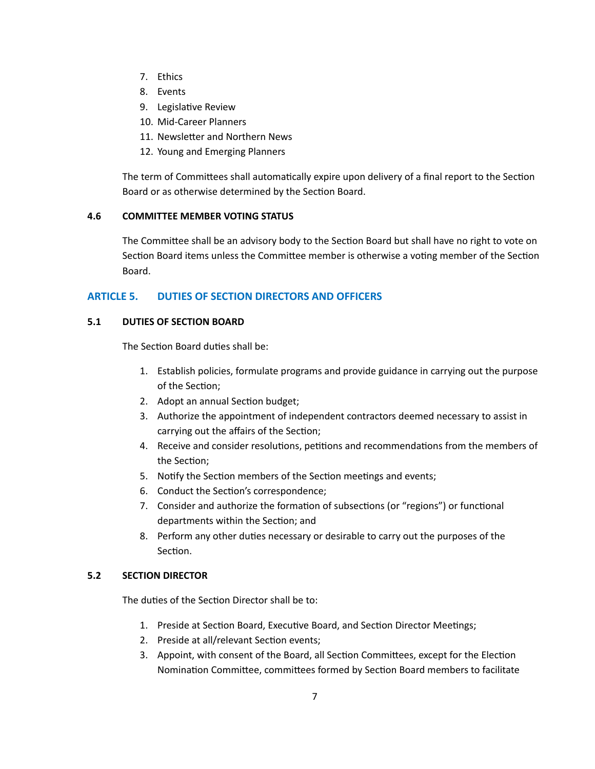- 7. Ethics
- 8. Events
- 9. Legislative Review
- 10. Mid-Career Planners
- 11. Newsletter and Northern News
- 12. Young and Emerging Planners

The term of Committees shall automatically expire upon delivery of a final report to the Section Board or as otherwise determined by the Section Board.

## **4.6 COMMITTEE MEMBER VOTING STATUS**

The Committee shall be an advisory body to the Section Board but shall have no right to vote on Section Board items unless the Committee member is otherwise a voting member of the Section Board.

## **ARTICLE 5. DUTIES OF SECTION DIRECTORS AND OFFICERS**

## **5.1 DUTIES OF SECTION BOARD**

The Section Board duties shall be:

- 1. Establish policies, formulate programs and provide guidance in carrying out the purpose of the Section:
- 2. Adopt an annual Section budget;
- 3. Authorize the appointment of independent contractors deemed necessary to assist in carrying out the affairs of the Section;
- 4. Receive and consider resolutions, petitions and recommendations from the members of the Section:
- 5. Notify the Section members of the Section meetings and events;
- 6. Conduct the Section's correspondence;
- 7. Consider and authorize the formation of subsections (or "regions") or functional departments within the Section; and
- 8. Perform any other duties necessary or desirable to carry out the purposes of the Section.

## **5.2 SECTION DIRECTOR**

The duties of the Section Director shall be to:

- 1. Preside at Section Board, Executive Board, and Section Director Meetings;
- 2. Preside at all/relevant Section events;
- 3. Appoint, with consent of the Board, all Section Committees, except for the Election Nomination Committee, committees formed by Section Board members to facilitate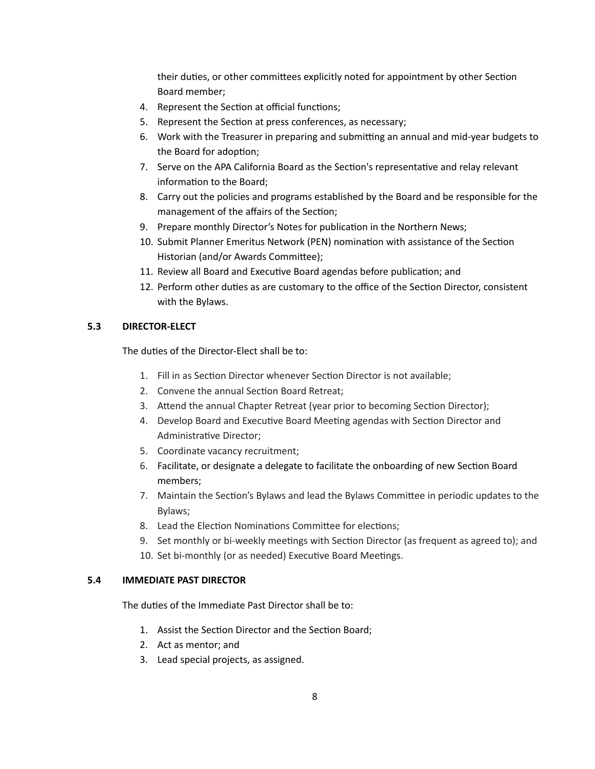their duties, or other committees explicitly noted for appointment by other Section Board member;

- 4. Represent the Section at official functions;
- 5. Represent the Section at press conferences, as necessary;
- 6. Work with the Treasurer in preparing and submitting an annual and mid-year budgets to the Board for adoption;
- 7. Serve on the APA California Board as the Section's representative and relay relevant information to the Board;
- 8. Carry out the policies and programs established by the Board and be responsible for the management of the affairs of the Section;
- 9. Prepare monthly Director's Notes for publication in the Northern News;
- 10. Submit Planner Emeritus Network (PEN) nomination with assistance of the Section Historian (and/or Awards Committee);
- 11. Review all Board and Executive Board agendas before publication; and
- 12. Perform other duties as are customary to the office of the Section Director, consistent with the Bylaws.

## **5.3 DIRECTOR-ELECT**

The duties of the Director-Elect shall be to:

- 1. Fill in as Section Director whenever Section Director is not available;
- 2. Convene the annual Section Board Retreat;
- 3. Attend the annual Chapter Retreat (year prior to becoming Section Director);
- 4. Develop Board and Executive Board Meeting agendas with Section Director and Administrative Director:
- 5. Coordinate vacancy recruitment;
- 6. Facilitate, or designate a delegate to facilitate the onboarding of new Section Board members;
- 7. Maintain the Section's Bylaws and lead the Bylaws Committee in periodic updates to the Bylaws;
- 8. Lead the Election Nominations Committee for elections;
- 9. Set monthly or bi-weekly meetings with Section Director (as frequent as agreed to); and
- 10. Set bi-monthly (or as needed) Executive Board Meetings.

## **5.4 IMMEDIATE PAST DIRECTOR**

The duties of the Immediate Past Director shall be to:

- 1. Assist the Section Director and the Section Board;
- 2. Act as mentor; and
- 3. Lead special projects, as assigned.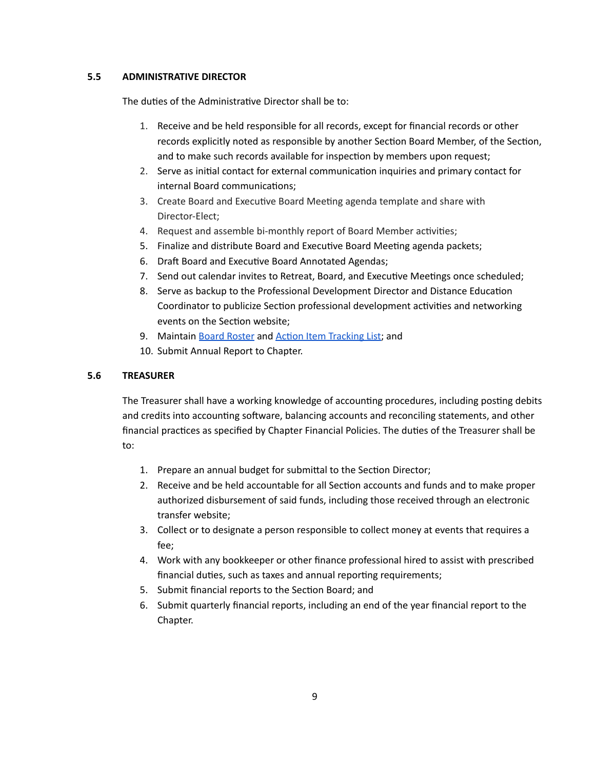## **5.5 ADMINISTRATIVE DIRECTOR**

The duties of the Administrative Director shall be to:

- 1. Receive and be held responsible for all records, except for financial records or other records explicitly noted as responsible by another Section Board Member, of the Section, and to make such records available for inspection by members upon request;
- 2. Serve as initial contact for external communication inquiries and primary contact for internal Board communications;
- 3. Create Board and Executive Board Meeting agenda template and share with Director-Elect;
- 4. Request and assemble bi-monthly report of Board Member activities;
- 5. Finalize and distribute Board and Executive Board Meeting agenda packets;
- 6. Draft Board and Executive Board Annotated Agendas;
- 7. Send out calendar invites to Retreat, Board, and Executive Meetings once scheduled;
- 8. Serve as backup to the Professional Development Director and Distance Education Coordinator to publicize Section professional development activities and networking events on the Section website;
- 9. Maintain Board [Roster](https://docs.google.com/spreadsheets/d/1LJUuVnNU7x2St8BWrbSj9jdvFGBR6SINWAufE833tiM/edit#gid=1783397403) and Action Item [Tracking](https://docs.google.com/spreadsheets/d/17P1G1VNWrcCZjDhRdMLMcGG3wUFcrTTlZb7tqMHdRvw/edit?usp=sharing) List; and
- 10. Submit Annual Report to Chapter.

## **5.6 TREASURER**

The Treasurer shall have a working knowledge of accounting procedures, including posting debits and credits into accounting software, balancing accounts and reconciling statements, and other financial practices as specified by Chapter Financial Policies. The duties of the Treasurer shall be to:

- 1. Prepare an annual budget for submittal to the Section Director;
- 2. Receive and be held accountable for all Section accounts and funds and to make proper authorized disbursement of said funds, including those received through an electronic transfer website;
- 3. Collect or to designate a person responsible to collect money at events that requires a fee;
- 4. Work with any bookkeeper or other finance professional hired to assist with prescribed financial duties, such as taxes and annual reporting requirements;
- 5. Submit financial reports to the Section Board; and
- 6. Submit quarterly financial reports, including an end of the year financial report to the Chapter.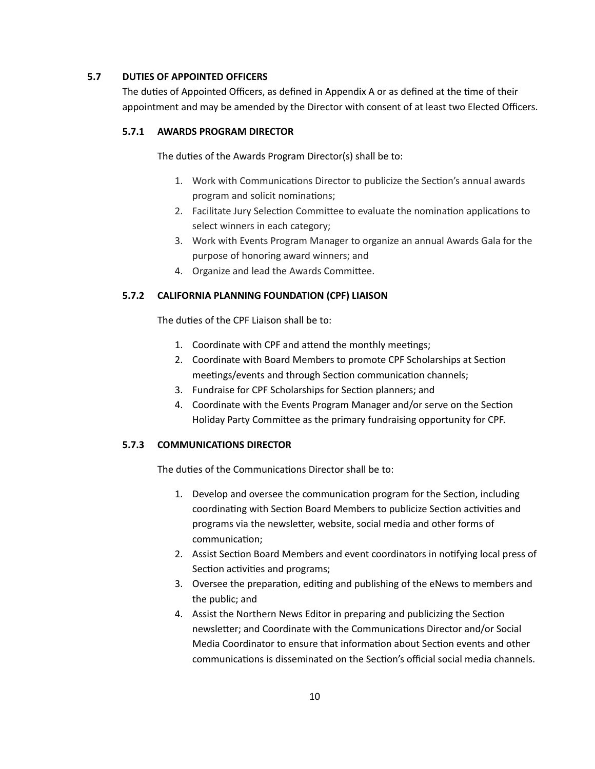### **5.7 DUTIES OF APPOINTED OFFICERS**

The duties of Appointed Officers, as defined in Appendix A or as defined at the time of their appointment and may be amended by the Director with consent of at least two Elected Officers.

### **5.7.1 AWARDS PROGRAM DIRECTOR**

The duties of the Awards Program Director(s) shall be to:

- 1. Work with Communications Director to publicize the Section's annual awards program and solicit nominations;
- 2. Facilitate Jury Selection Committee to evaluate the nomination applications to select winners in each category;
- 3. Work with Events Program Manager to organize an annual Awards Gala for the purpose of honoring award winners; and
- 4. Organize and lead the Awards Committee.

## **5.7.2 CALIFORNIA PLANNING FOUNDATION (CPF) LIAISON**

The duties of the CPF Liaison shall be to:

- 1. Coordinate with CPF and attend the monthly meetings;
- 2. Coordinate with Board Members to promote CPF Scholarships at Section meetings/events and through Section communication channels;
- 3. Fundraise for CPF Scholarships for Section planners; and
- 4. Coordinate with the Events Program Manager and/or serve on the Section Holiday Party Committee as the primary fundraising opportunity for CPF.

### **5.7.3 COMMUNICATIONS DIRECTOR**

The duties of the Communications Director shall be to:

- 1. Develop and oversee the communication program for the Section, including coordinating with Section Board Members to publicize Section activities and programs via the newsletter, website, social media and other forms of communication;
- 2. Assist Section Board Members and event coordinators in notifying local press of Section activities and programs;
- 3. Oversee the preparation, editing and publishing of the eNews to members and the public; and
- 4. Assist the Northern News Editor in preparing and publicizing the Section newsletter; and Coordinate with the Communications Director and/or Social Media Coordinator to ensure that information about Section events and other communications is disseminated on the Section's official social media channels.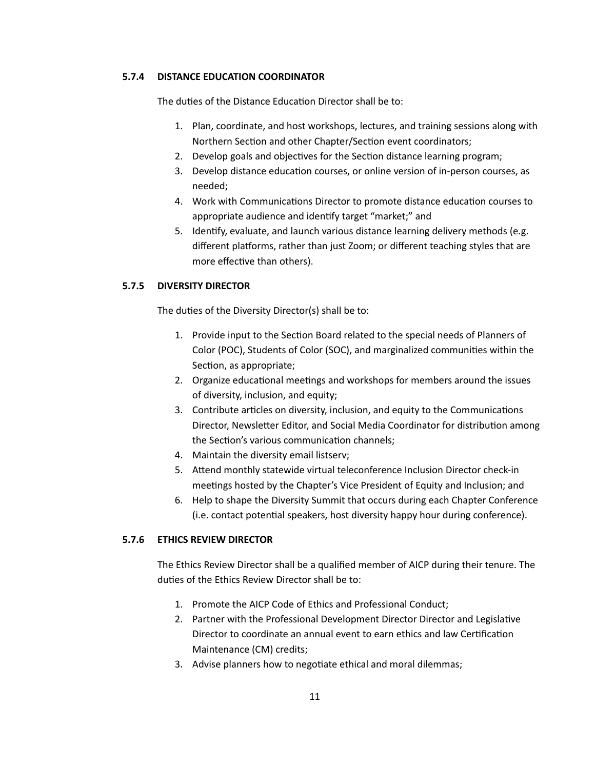### **5.7.4 DISTANCE EDUCATION COORDINATOR**

The duties of the Distance Education Director shall be to:

- 1. Plan, coordinate, and host workshops, lectures, and training sessions along with Northern Section and other Chapter/Section event coordinators;
- 2. Develop goals and objectives for the Section distance learning program;
- 3. Develop distance education courses, or online version of in-person courses, as needed;
- 4. Work with Communications Director to promote distance education courses to appropriate audience and identify target "market;" and
- 5. Idenfy, evaluate, and launch various distance learning delivery methods (e.g. different platforms, rather than just Zoom; or different teaching styles that are more effective than others).

### **5.7.5 DIVERSITY DIRECTOR**

The duties of the Diversity Director(s) shall be to:

- 1. Provide input to the Section Board related to the special needs of Planners of Color (POC), Students of Color (SOC), and marginalized communities within the Section, as appropriate;
- 2. Organize educational meetings and workshops for members around the issues of diversity, inclusion, and equity;
- 3. Contribute articles on diversity, inclusion, and equity to the Communications Director, Newsletter Editor, and Social Media Coordinator for distribution among the Section's various communication channels;
- 4. Maintain the diversity email listserv;
- 5. Attend monthly statewide virtual teleconference Inclusion Director check-in meetings hosted by the Chapter's Vice President of Equity and Inclusion; and
- 6. Help to shape the Diversity Summit that occurs during each Chapter Conference (i.e. contact potential speakers, host diversity happy hour during conference).

## **5.7.6 ETHICS REVIEW DIRECTOR**

The Ethics Review Director shall be a qualified member of AICP during their tenure. The duties of the Ethics Review Director shall be to:

- 1. Promote the AICP Code of Ethics and Professional Conduct;
- 2. Partner with the Professional Development Director Director and Legislative Director to coordinate an annual event to earn ethics and law Certification Maintenance (CM) credits;
- 3. Advise planners how to negotiate ethical and moral dilemmas;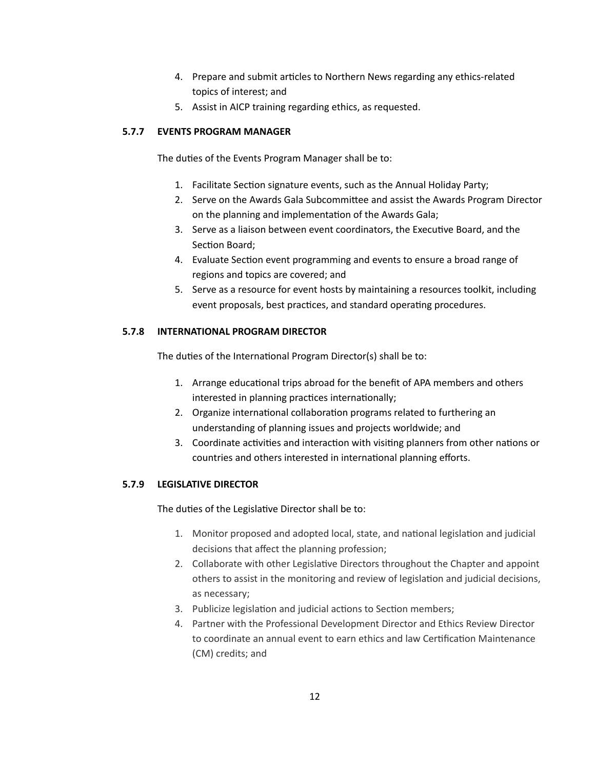- 4. Prepare and submit articles to Northern News regarding any ethics-related topics of interest; and
- 5. Assist in AICP training regarding ethics, as requested.

## **5.7.7 EVENTS PROGRAM MANAGER**

The duties of the Events Program Manager shall be to:

- 1. Facilitate Section signature events, such as the Annual Holiday Party;
- 2. Serve on the Awards Gala Subcommittee and assist the Awards Program Director on the planning and implementation of the Awards Gala;
- 3. Serve as a liaison between event coordinators, the Executive Board, and the Section Board;
- 4. Evaluate Section event programming and events to ensure a broad range of regions and topics are covered; and
- 5. Serve as a resource for event hosts by maintaining a resources toolkit, including event proposals, best practices, and standard operating procedures.

## **5.7.8 INTERNATIONAL PROGRAM DIRECTOR**

The duties of the International Program Director(s) shall be to:

- 1. Arrange educational trips abroad for the benefit of APA members and others interested in planning practices internationally;
- 2. Organize international collaboration programs related to furthering an understanding of planning issues and projects worldwide; and
- 3. Coordinate activities and interaction with visiting planners from other nations or countries and others interested in international planning efforts.

## **5.7.9 LEGISLATIVE DIRECTOR**

The duties of the Legislative Director shall be to:

- 1. Monitor proposed and adopted local, state, and national legislation and judicial decisions that affect the planning profession;
- 2. Collaborate with other Legislative Directors throughout the Chapter and appoint others to assist in the monitoring and review of legislation and judicial decisions, as necessary;
- 3. Publicize legislation and judicial actions to Section members;
- 4. Partner with the Professional Development Director and Ethics Review Director to coordinate an annual event to earn ethics and law Certification Maintenance (CM) credits; and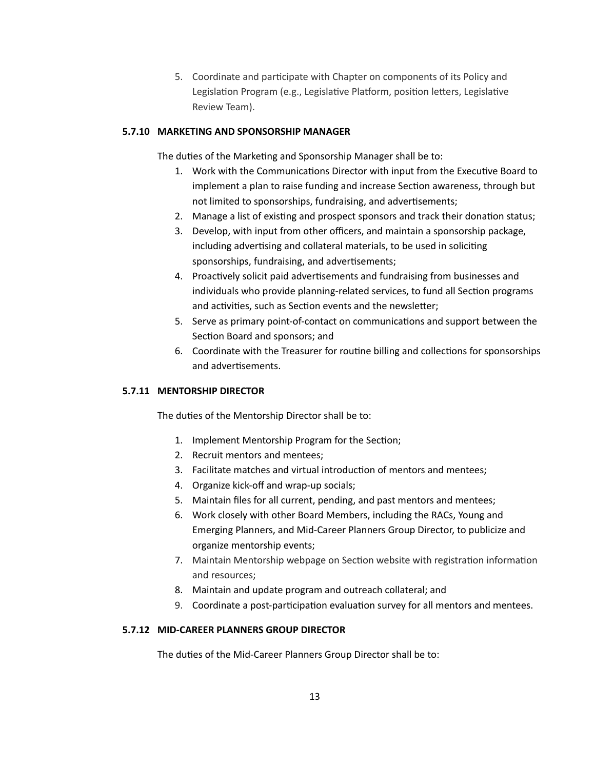5. Coordinate and participate with Chapter on components of its Policy and Legislation Program (e.g., Legislative Platform, position letters, Legislative Review Team).

## **5.7.10 MARKETING AND SPONSORSHIP MANAGER**

The duties of the Marketing and Sponsorship Manager shall be to:

- 1. Work with the Communications Director with input from the Executive Board to implement a plan to raise funding and increase Section awareness, through but not limited to sponsorships, fundraising, and advertisements;
- 2. Manage a list of existing and prospect sponsors and track their donation status;
- 3. Develop, with input from other officers, and maintain a sponsorship package, including advertising and collateral materials, to be used in soliciting sponsorships, fundraising, and advertisements;
- 4. Proactively solicit paid advertisements and fundraising from businesses and individuals who provide planning-related services, to fund all Section programs and activities, such as Section events and the newsletter;
- 5. Serve as primary point-of-contact on communications and support between the Section Board and sponsors; and
- 6. Coordinate with the Treasurer for routine billing and collections for sponsorships and advertisements.

### **5.7.11 MENTORSHIP DIRECTOR**

The duties of the Mentorship Director shall be to:

- 1. Implement Mentorship Program for the Section;
- 2. Recruit mentors and mentees;
- 3. Facilitate matches and virtual introduction of mentors and mentees;
- 4. Organize kick-off and wrap-up socials;
- 5. Maintain files for all current, pending, and past mentors and mentees;
- 6. Work closely with other Board Members, including the RACs, Young and Emerging Planners, and Mid-Career Planners Group Director, to publicize and organize mentorship events;
- 7. Maintain Mentorship webpage on Section website with registration information and resources;
- 8. Maintain and update program and outreach collateral; and
- 9. Coordinate a post-participation evaluation survey for all mentors and mentees.

## **5.7.12 MID-CAREER PLANNERS GROUP DIRECTOR**

The duties of the Mid-Career Planners Group Director shall be to: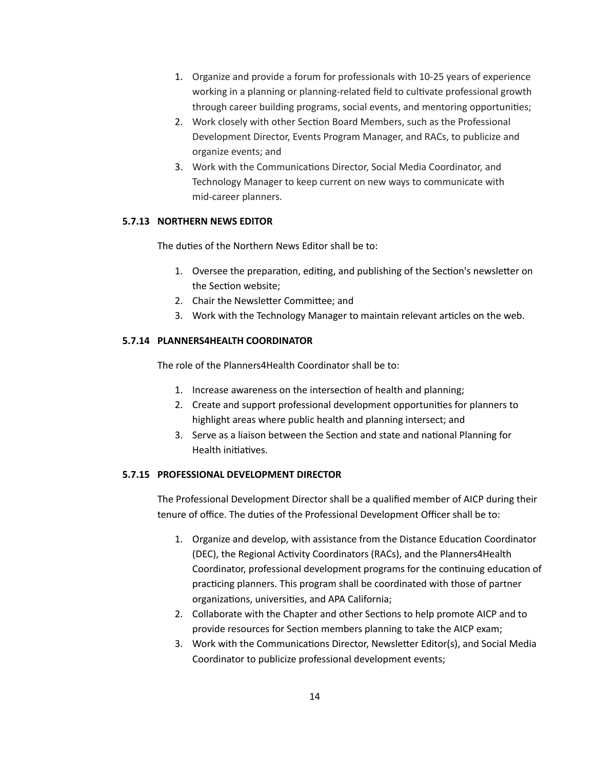- 1. Organize and provide a forum for professionals with 10-25 years of experience working in a planning or planning-related field to cultivate professional growth through career building programs, social events, and mentoring opportunities;
- 2. Work closely with other Section Board Members, such as the Professional Development Director, Events Program Manager, and RACs, to publicize and organize events; and
- 3. Work with the Communications Director, Social Media Coordinator, and Technology Manager to keep current on new ways to communicate with mid-career planners.

## **5.7.13 NORTHERN NEWS EDITOR**

The duties of the Northern News Editor shall be to:

- 1. Oversee the preparation, editing, and publishing of the Section's newsletter on the Section website:
- 2. Chair the Newsletter Committee; and
- 3. Work with the Technology Manager to maintain relevant articles on the web.

## **5.7.14 PLANNERS4HEALTH COORDINATOR**

The role of the Planners4Health Coordinator shall be to:

- 1. Increase awareness on the intersection of health and planning;
- 2. Create and support professional development opportunities for planners to highlight areas where public health and planning intersect; and
- 3. Serve as a liaison between the Section and state and national Planning for Health initiatives.

## **5.7.15 PROFESSIONAL DEVELOPMENT DIRECTOR**

The Professional Development Director shall be a qualified member of AICP during their tenure of office. The duties of the Professional Development Officer shall be to:

- 1. Organize and develop, with assistance from the Distance Education Coordinator (DEC), the Regional Activity Coordinators (RACs), and the Planners4Health Coordinator, professional development programs for the continuing education of practicing planners. This program shall be coordinated with those of partner organizations, universities, and APA California;
- 2. Collaborate with the Chapter and other Sections to help promote AICP and to provide resources for Section members planning to take the AICP exam;
- 3. Work with the Communications Director, Newsletter Editor(s), and Social Media Coordinator to publicize professional development events;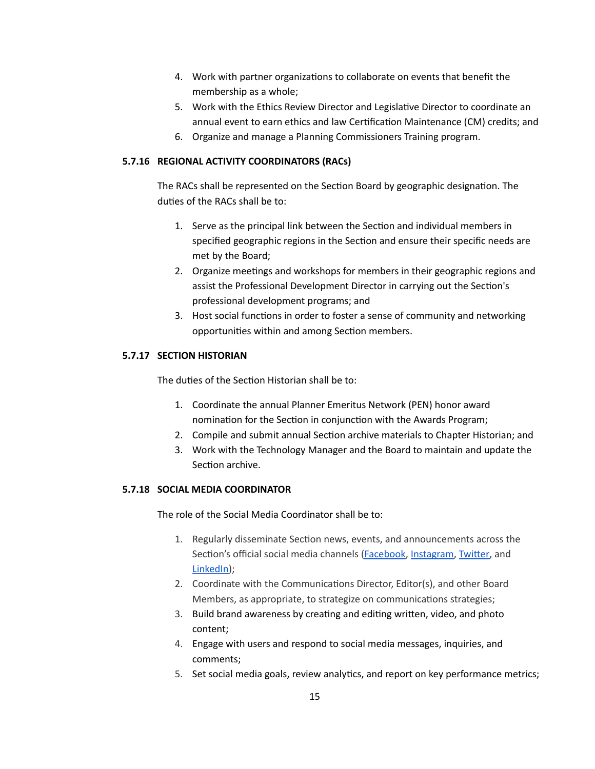- 4. Work with partner organizations to collaborate on events that benefit the membership as a whole;
- 5. Work with the Ethics Review Director and Legislative Director to coordinate an annual event to earn ethics and law Certification Maintenance (CM) credits; and
- 6. Organize and manage a Planning Commissioners Training program.

## **5.7.16 REGIONAL ACTIVITY COORDINATORS (RACs)**

The RACs shall be represented on the Section Board by geographic designation. The duties of the RACs shall be to:

- 1. Serve as the principal link between the Section and individual members in specified geographic regions in the Section and ensure their specific needs are met by the Board;
- 2. Organize meetings and workshops for members in their geographic regions and assist the Professional Development Director in carrying out the Section's professional development programs; and
- 3. Host social functions in order to foster a sense of community and networking opportunities within and among Section members.

## **5.7.17 SECTION HISTORIAN**

The duties of the Section Historian shall be to:

- 1. Coordinate the annual Planner Emeritus Network (PEN) honor award nomination for the Section in conjunction with the Awards Program;
- 2. Compile and submit annual Section archive materials to Chapter Historian; and
- 3. Work with the Technology Manager and the Board to maintain and update the Section archive.

## **5.7.18 SOCIAL MEDIA COORDINATOR**

The role of the Social Media Coordinator shall be to:

- 1. Regularly disseminate Section news, events, and announcements across the Section's official social media channels [\(Facebook,](https://www.facebook.com/norcalapa) [Instagram](https://www.instagram.com/apa_canorthern), Twitter, and [LinkedIn\)](https://www.linkedin.com/company/65574513/);
- 2. Coordinate with the Communications Director, Editor(s), and other Board Members, as appropriate, to strategize on communications strategies;
- 3. Build brand awareness by creating and editing written, video, and photo content;
- 4. Engage with users and respond to social media messages, inquiries, and comments;
- 5. Set social media goals, review analytics, and report on key performance metrics;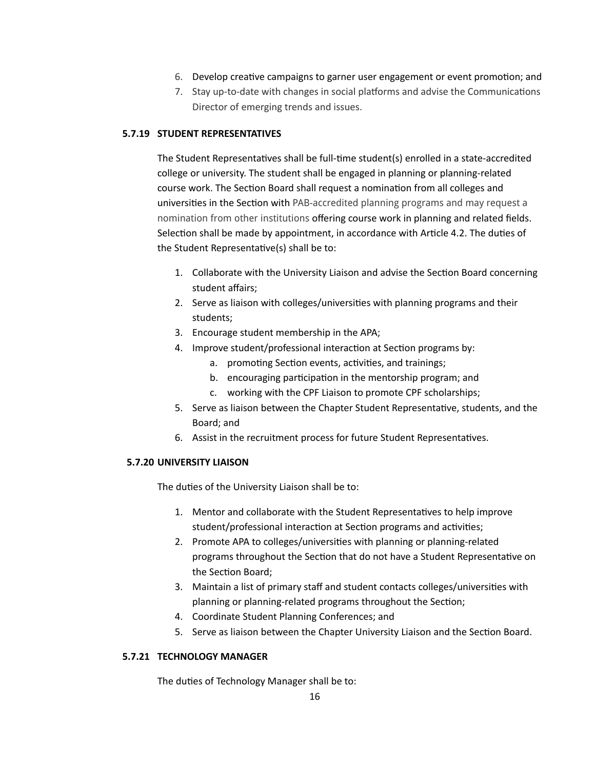- 6. Develop creative campaigns to garner user engagement or event promotion; and
- 7. Stay up-to-date with changes in social platforms and advise the Communications Director of emerging trends and issues.

### **5.7.19 STUDENT REPRESENTATIVES**

The Student Representatives shall be full-time student(s) enrolled in a state-accredited college or university. The student shall be engaged in planning or planning-related course work. The Section Board shall request a nomination from all colleges and universities in the Section with PAB-accredited planning programs and may request a nomination from other institutions offering course work in planning and related fields. Selection shall be made by appointment, in accordance with Article 4.2. The duties of the Student Representative(s) shall be to:

- 1. Collaborate with the University Liaison and advise the Section Board concerning student affairs;
- 2. Serve as liaison with colleges/universities with planning programs and their students;
- 3. Encourage student membership in the APA;
- 4. Improve student/professional interaction at Section programs by:
	- a. promoting Section events, activities, and trainings;
	- b. encouraging participation in the mentorship program; and
	- c. working with the CPF Liaison to promote CPF scholarships;
- 5. Serve as liaison between the Chapter Student Representative, students, and the Board; and
- 6. Assist in the recruitment process for future Student Representatives.

## **5.7.20 UNIVERSITY LIAISON**

The duties of the University Liaison shall be to:

- 1. Mentor and collaborate with the Student Representatives to help improve student/professional interaction at Section programs and activities;
- 2. Promote APA to colleges/universities with planning or planning-related programs throughout the Section that do not have a Student Representative on the Section Board:
- 3. Maintain a list of primary staff and student contacts colleges/universities with planning or planning-related programs throughout the Section;
- 4. Coordinate Student Planning Conferences; and
- 5. Serve as liaison between the Chapter University Liaison and the Section Board.

### **5.7.21 TECHNOLOGY MANAGER**

The duties of Technology Manager shall be to: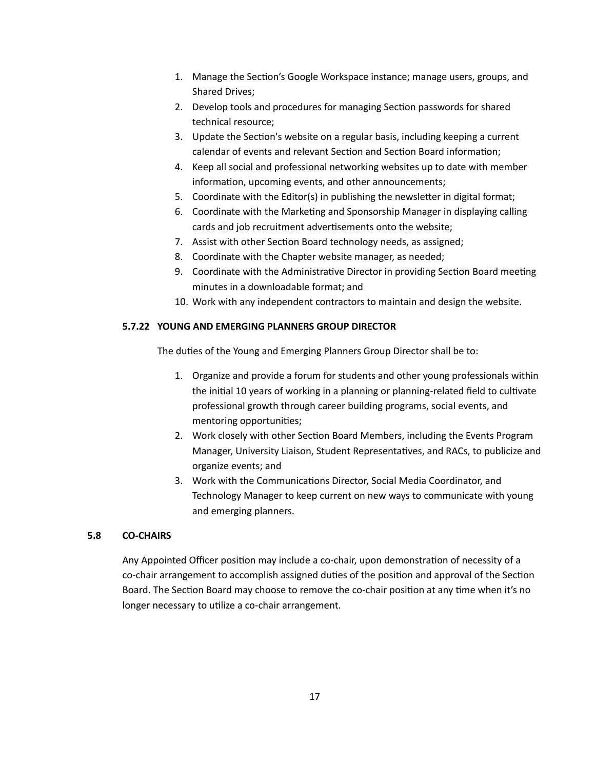- 1. Manage the Section's Google Workspace instance; manage users, groups, and Shared Drives;
- 2. Develop tools and procedures for managing Section passwords for shared technical resource;
- 3. Update the Section's website on a regular basis, including keeping a current calendar of events and relevant Section and Section Board information;
- 4. Keep all social and professional networking websites up to date with member information, upcoming events, and other announcements;
- 5. Coordinate with the Editor(s) in publishing the newsletter in digital format;
- 6. Coordinate with the Marketing and Sponsorship Manager in displaying calling cards and job recruitment advertisements onto the website;
- 7. Assist with other Section Board technology needs, as assigned;
- 8. Coordinate with the Chapter website manager, as needed;
- 9. Coordinate with the Administrative Director in providing Section Board meeting minutes in a downloadable format; and
- 10. Work with any independent contractors to maintain and design the website.

## **5.7.22 YOUNG AND EMERGING PLANNERS GROUP DIRECTOR**

The duties of the Young and Emerging Planners Group Director shall be to:

- 1. Organize and provide a forum for students and other young professionals within the initial 10 years of working in a planning or planning-related field to cultivate professional growth through career building programs, social events, and mentoring opportunities;
- 2. Work closely with other Section Board Members, including the Events Program Manager, University Liaison, Student Representatives, and RACs, to publicize and organize events; and
- 3. Work with the Communications Director, Social Media Coordinator, and Technology Manager to keep current on new ways to communicate with young and emerging planners.

## **5.8 CO-CHAIRS**

Any Appointed Officer position may include a co-chair, upon demonstration of necessity of a co-chair arrangement to accomplish assigned duties of the position and approval of the Section Board. The Section Board may choose to remove the co-chair position at any time when it's no longer necessary to utilize a co-chair arrangement.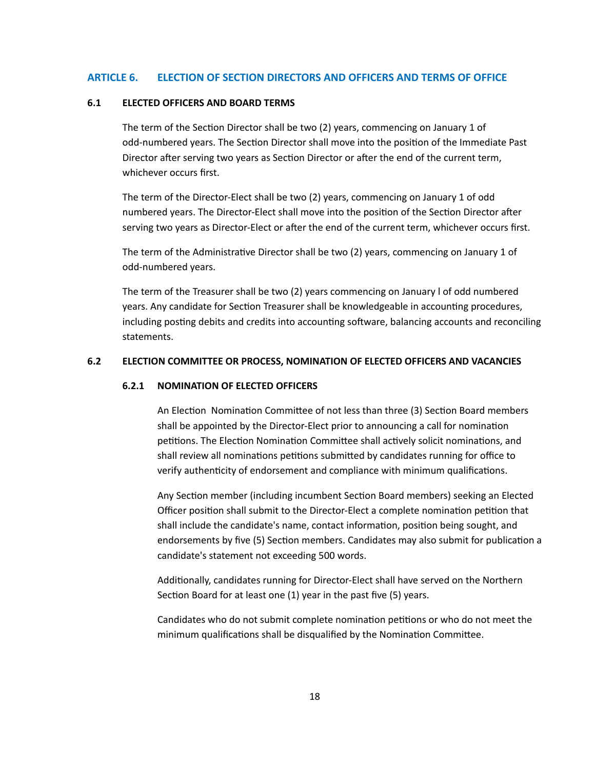#### **ARTICLE 6. ELECTION OF SECTION DIRECTORS AND OFFICERS AND TERMS OF OFFICE**

#### **6.1 ELECTED OFFICERS AND BOARD TERMS**

The term of the Section Director shall be two (2) years, commencing on January 1 of odd-numbered years. The Section Director shall move into the position of the Immediate Past Director after serving two years as Section Director or after the end of the current term, whichever occurs first.

The term of the Director-Elect shall be two (2) years, commencing on January 1 of odd numbered years. The Director-Elect shall move into the position of the Section Director after serving two years as Director-Elect or after the end of the current term, whichever occurs first.

The term of the Administrative Director shall be two  $(2)$  years, commencing on January 1 of odd-numbered years.

The term of the Treasurer shall be two (2) years commencing on January l of odd numbered years. Any candidate for Section Treasurer shall be knowledgeable in accounting procedures, including posting debits and credits into accounting software, balancing accounts and reconciling statements.

#### **6.2 ELECTION COMMITTEE OR PROCESS, NOMINATION OF ELECTED OFFICERS AND VACANCIES**

#### **6.2.1 NOMINATION OF ELECTED OFFICERS**

An Election Nomination Committee of not less than three (3) Section Board members shall be appointed by the Director-Elect prior to announcing a call for nomination petitions. The Election Nomination Committee shall actively solicit nominations, and shall review all nominations petitions submitted by candidates running for office to verify authenticity of endorsement and compliance with minimum qualifications.

Any Section member (including incumbent Section Board members) seeking an Elected Officer position shall submit to the Director-Elect a complete nomination petition that shall include the candidate's name, contact information, position being sought, and endorsements by five (5) Section members. Candidates may also submit for publication a candidate's statement not exceeding 500 words.

Additionally, candidates running for Director-Elect shall have served on the Northern Section Board for at least one  $(1)$  year in the past five  $(5)$  years.

Candidates who do not submit complete nomination petitions or who do not meet the minimum qualifications shall be disqualified by the Nomination Committee.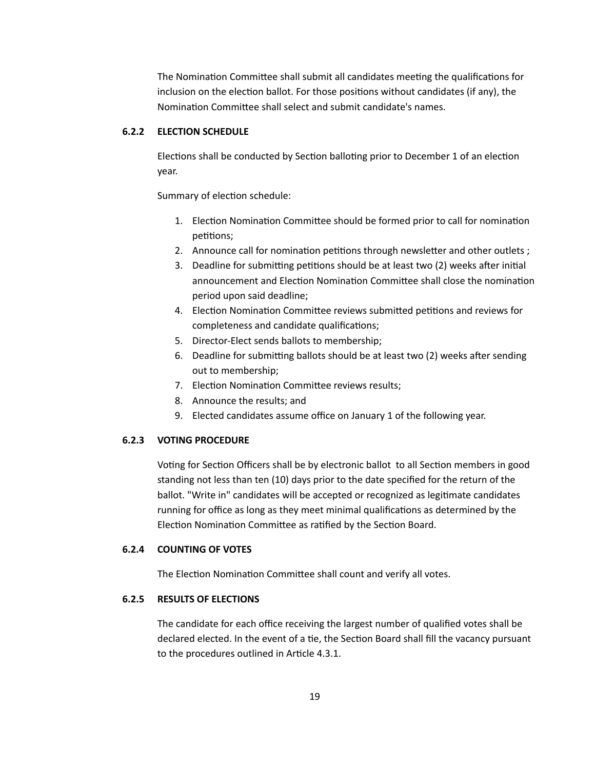The Nomination Committee shall submit all candidates meeting the qualifications for inclusion on the election ballot. For those positions without candidates (if any), the Nomination Committee shall select and submit candidate's names.

### **6.2.2 ELECTION SCHEDULE**

Elections shall be conducted by Section balloting prior to December 1 of an election year.

Summary of election schedule:

- 1. Election Nomination Committee should be formed prior to call for nomination petitions;
- 2. Announce call for nomination petitions through newsletter and other outlets;
- 3. Deadline for submitting petitions should be at least two (2) weeks after initial announcement and Election Nomination Committee shall close the nomination period upon said deadline;
- 4. Election Nomination Committee reviews submitted petitions and reviews for completeness and candidate qualifications;
- 5. Director-Elect sends ballots to membership;
- 6. Deadline for submitting ballots should be at least two (2) weeks after sending out to membership;
- 7. Election Nomination Committee reviews results;
- 8. Announce the results; and
- 9. Elected candidates assume office on January 1 of the following year.

#### **6.2.3 VOTING PROCEDURE**

Voting for Section Officers shall be by electronic ballot to all Section members in good standing not less than ten (10) days prior to the date specified for the return of the ballot. "Write in" candidates will be accepted or recognized as legitimate candidates running for office as long as they meet minimal qualifications as determined by the Election Nomination Committee as ratified by the Section Board.

### **6.2.4 COUNTING OF VOTES**

The Election Nomination Committee shall count and verify all votes.

### **6.2.5 RESULTS OF ELECTIONS**

The candidate for each office receiving the largest number of qualified votes shall be declared elected. In the event of a tie, the Section Board shall fill the vacancy pursuant to the procedures outlined in Article 4.3.1.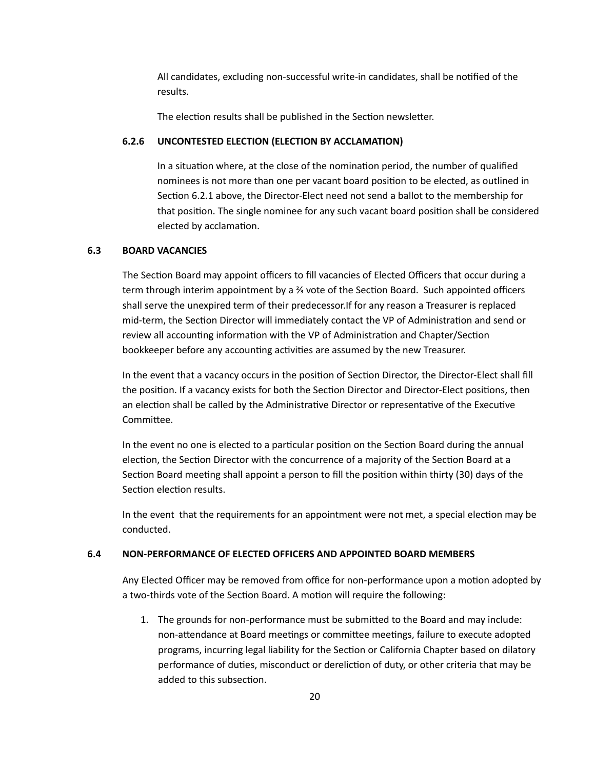All candidates, excluding non-successful write-in candidates, shall be nofied of the results.

The election results shall be published in the Section newsletter.

## **6.2.6 UNCONTESTED ELECTION (ELECTION BY ACCLAMATION)**

In a situation where, at the close of the nomination period, the number of qualified nominees is not more than one per vacant board position to be elected, as outlined in Section 6.2.1 above, the Director-Elect need not send a ballot to the membership for that position. The single nominee for any such vacant board position shall be considered elected by acclamation.

## **6.3 BOARD VACANCIES**

The Section Board may appoint officers to fill vacancies of Elected Officers that occur during a term through interim appointment by a <sup>3</sup>⁄<sub>3</sub> vote of the Section Board. Such appointed officers shall serve the unexpired term of their predecessor.If for any reason a Treasurer is replaced mid-term, the Section Director will immediately contact the VP of Administration and send or review all accounting information with the VP of Administration and Chapter/Section bookkeeper before any accounting activities are assumed by the new Treasurer.

In the event that a vacancy occurs in the position of Section Director, the Director-Elect shall fill the position. If a vacancy exists for both the Section Director and Director-Elect positions, then an election shall be called by the Administrative Director or representative of the Executive Committee.

In the event no one is elected to a particular position on the Section Board during the annual election, the Section Director with the concurrence of a majority of the Section Board at a Section Board meeting shall appoint a person to fill the position within thirty (30) days of the Section election results.

In the event that the requirements for an appointment were not met, a special election may be conducted.

## **6.4 NON-PERFORMANCE OF ELECTED OFFICERS AND APPOINTED BOARD MEMBERS**

Any Elected Officer may be removed from office for non-performance upon a motion adopted by a two-thirds vote of the Section Board. A motion will require the following:

1. The grounds for non-performance must be submitted to the Board and may include: non-attendance at Board meetings or committee meetings, failure to execute adopted programs, incurring legal liability for the Section or California Chapter based on dilatory performance of duties, misconduct or dereliction of duty, or other criteria that may be added to this subsection.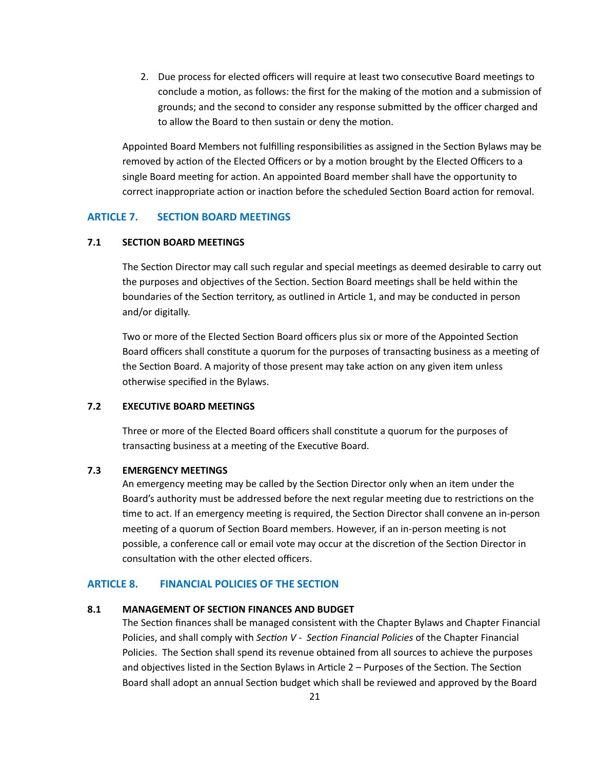2. Due process for elected officers will require at least two consecutive Board meetings to conclude a motion, as follows: the first for the making of the motion and a submission of grounds; and the second to consider any response submitted by the officer charged and to allow the Board to then sustain or deny the motion.

Appointed Board Members not fulfilling responsibilities as assigned in the Section Bylaws may be removed by action of the Elected Officers or by a motion brought by the Elected Officers to a single Board meeting for action. An appointed Board member shall have the opportunity to correct inappropriate action or inaction before the scheduled Section Board action for removal.

### **ARTICLE 7. SECTION BOARD MEETINGS**

#### **7.1 SECTION BOARD MEETINGS**

The Section Director may call such regular and special meetings as deemed desirable to carry out the purposes and objectives of the Section. Section Board meetings shall be held within the boundaries of the Section territory, as outlined in Article 1, and may be conducted in person and/or digitally.

Two or more of the Elected Section Board officers plus six or more of the Appointed Section Board officers shall constitute a quorum for the purposes of transacting business as a meeting of the Section Board. A majority of those present may take action on any given item unless otherwise specified in the Bylaws.

### **7.2 EXECUTIVE BOARD MEETINGS**

Three or more of the Elected Board officers shall constitute a quorum for the purposes of transacting business at a meeting of the Executive Board.

#### **7.3 EMERGENCY MEETINGS**

An emergency meeting may be called by the Section Director only when an item under the Board's authority must be addressed before the next regular meeting due to restrictions on the time to act. If an emergency meeting is required, the Section Director shall convene an in-person meeting of a quorum of Section Board members. However, if an in-person meeting is not possible, a conference call or email vote may occur at the discretion of the Section Director in consultation with the other elected officers.

### **ARTICLE 8. FINANCIAL POLICIES OF THE SECTION**

#### **8.1 MANAGEMENT OF SECTION FINANCES AND BUDGET**

The Section finances shall be managed consistent with the Chapter Bylaws and Chapter Financial Policies, and shall comply with *Section V - Section Financial Policies* of the Chapter Financial Policies. The Section shall spend its revenue obtained from all sources to achieve the purposes and objectives listed in the Section Bylaws in Article  $2$  – Purposes of the Section. The Section Board shall adopt an annual Section budget which shall be reviewed and approved by the Board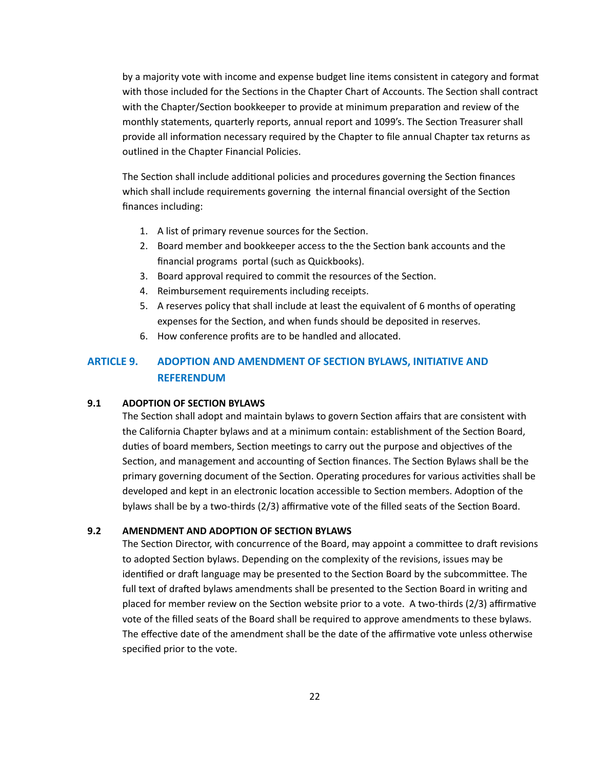by a majority vote with income and expense budget line items consistent in category and format with those included for the Sections in the Chapter Chart of Accounts. The Section shall contract with the Chapter/Section bookkeeper to provide at minimum preparation and review of the monthly statements, quarterly reports, annual report and 1099's. The Section Treasurer shall provide all information necessary required by the Chapter to file annual Chapter tax returns as outlined in the Chapter Financial Policies.

The Section shall include additional policies and procedures governing the Section finances which shall include requirements governing the internal financial oversight of the Section finances including:

- 1. A list of primary revenue sources for the Section.
- 2. Board member and bookkeeper access to the the Section bank accounts and the financial programs portal (such as Quickbooks).
- 3. Board approval required to commit the resources of the Section.
- 4. Reimbursement requirements including receipts.
- 5. A reserves policy that shall include at least the equivalent of 6 months of operating expenses for the Section, and when funds should be deposited in reserves.
- 6. How conference profits are to be handled and allocated.

# **ARTICLE 9. ADOPTION AND AMENDMENT OF SECTION BYLAWS, INITIATIVE AND REFERENDUM**

#### **9.1 ADOPTION OF SECTION BYLAWS**

The Section shall adopt and maintain bylaws to govern Section affairs that are consistent with the California Chapter bylaws and at a minimum contain: establishment of the Section Board, duties of board members, Section meetings to carry out the purpose and objectives of the Section, and management and accounting of Section finances. The Section Bylaws shall be the primary governing document of the Section. Operating procedures for various activities shall be developed and kept in an electronic location accessible to Section members. Adoption of the bylaws shall be by a two-thirds  $(2/3)$  affirmative vote of the filled seats of the Section Board.

#### **9.2 AMENDMENT AND ADOPTION OF SECTION BYLAWS**

The Section Director, with concurrence of the Board, may appoint a committee to draft revisions to adopted Section bylaws. Depending on the complexity of the revisions, issues may be identified or draft language may be presented to the Section Board by the subcommittee. The full text of drafted bylaws amendments shall be presented to the Section Board in writing and placed for member review on the Section website prior to a vote. A two-thirds  $(2/3)$  affirmative vote of the filled seats of the Board shall be required to approve amendments to these bylaws. The effective date of the amendment shall be the date of the affirmative vote unless otherwise specified prior to the vote.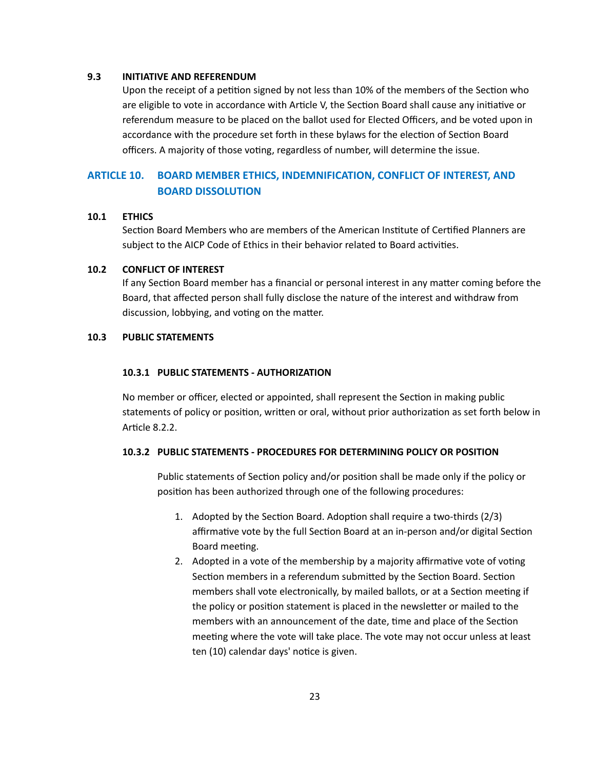#### **9.3 INITIATIVE AND REFERENDUM**

Upon the receipt of a petition signed by not less than 10% of the members of the Section who are eligible to vote in accordance with Article V, the Section Board shall cause any initiative or referendum measure to be placed on the ballot used for Elected Officers, and be voted upon in accordance with the procedure set forth in these bylaws for the election of Section Board officers. A majority of those voting, regardless of number, will determine the issue.

# **ARTICLE 10. BOARD MEMBER ETHICS, INDEMNIFICATION, CONFLICT OF INTEREST, AND BOARD DISSOLUTION**

#### **10.1 ETHICS**

Section Board Members who are members of the American Institute of Certified Planners are subject to the AICP Code of Ethics in their behavior related to Board activities.

#### **10.2 CONFLICT OF INTEREST**

If any Section Board member has a financial or personal interest in any matter coming before the Board, that affected person shall fully disclose the nature of the interest and withdraw from discussion, lobbying, and voting on the matter.

## **10.3 PUBLIC STATEMENTS**

#### **10.3.1 PUBLIC STATEMENTS - AUTHORIZATION**

No member or officer, elected or appointed, shall represent the Section in making public statements of policy or position, written or oral, without prior authorization as set forth below in Article 8.2.2.

### **10.3.2 PUBLIC STATEMENTS - PROCEDURES FOR DETERMINING POLICY OR POSITION**

Public statements of Section policy and/or position shall be made only if the policy or position has been authorized through one of the following procedures:

- 1. Adopted by the Section Board. Adoption shall require a two-thirds  $(2/3)$ affirmative vote by the full Section Board at an in-person and/or digital Section Board meeting.
- 2. Adopted in a vote of the membership by a majority affirmative vote of voting Section members in a referendum submitted by the Section Board. Section members shall vote electronically, by mailed ballots, or at a Section meeting if the policy or position statement is placed in the newsletter or mailed to the members with an announcement of the date, time and place of the Section meeting where the vote will take place. The vote may not occur unless at least ten (10) calendar days' notice is given.